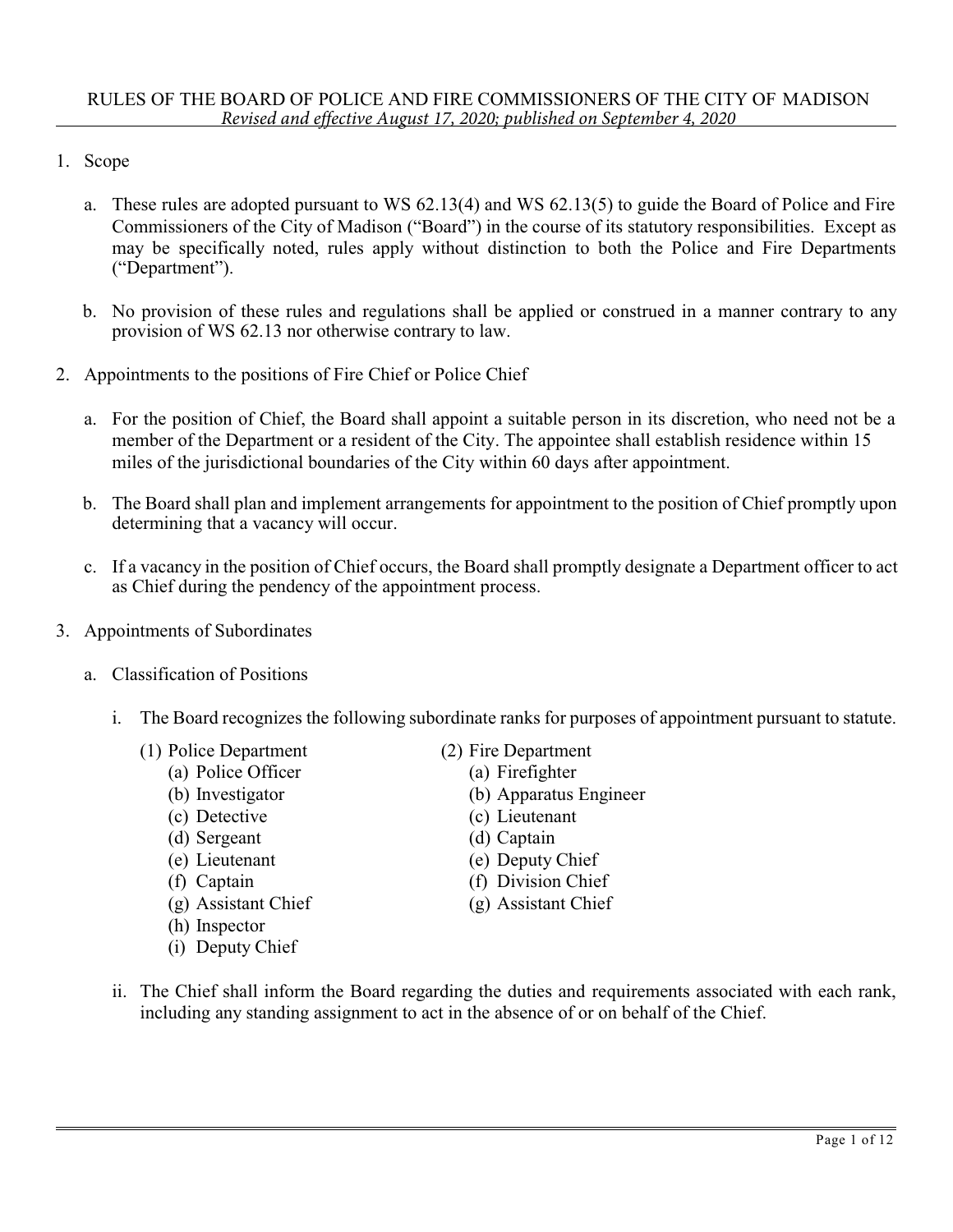- 1. Scope
	- a. These rules are adopted pursuant to WS 62.13(4) and WS 62.13(5) to guide the Board of Police and Fire Commissioners of the City of Madison ("Board") in the course of its statutory responsibilities. Except as may be specifically noted, rules apply without distinction to both the Police and Fire Departments ("Department").
	- b. No provision of these rules and regulations shall be applied or construed in a manner contrary to any provision of WS 62.13 nor otherwise contrary to law.
- 2. Appointments to the positions of Fire Chief or Police Chief
	- a. For the position of Chief, the Board shall appoint a suitable person in its discretion, who need not be a member of the Department or a resident of the City. The appointee shall establish residence within 15 miles of the jurisdictional boundaries of the City within 60 days after appointment.
	- b. The Board shall plan and implement arrangements for appointment to the position of Chief promptly upon determining that a vacancy will occur.
	- c. If a vacancy in the position of Chief occurs, the Board shall promptly designate a Department officer to act as Chief during the pendency of the appointment process.
- 3. Appointments of Subordinates
	- a. Classification of Positions
		- i. The Board recognizes the following subordinate ranks for purposes of appointment pursuant to statute.
			- (1) Police Department
				- (a) Police Officer
				- (b) Investigator
				- (c) Detective
				- (d) Sergeant
				- (e) Lieutenant
				- (f) Captain
				- (g) Assistant Chief
				- (h) Inspector
				- (i) Deputy Chief
- (2) Fire Department
	- (a) Firefighter
	- (b) Apparatus Engineer
	- (c) Lieutenant
	- (d) Captain
	- (e) Deputy Chief
	- (f) Division Chief
	- (g) Assistant Chief
- ii. The Chief shall inform the Board regarding the duties and requirements associated with each rank, including any standing assignment to act in the absence of or on behalf of the Chief.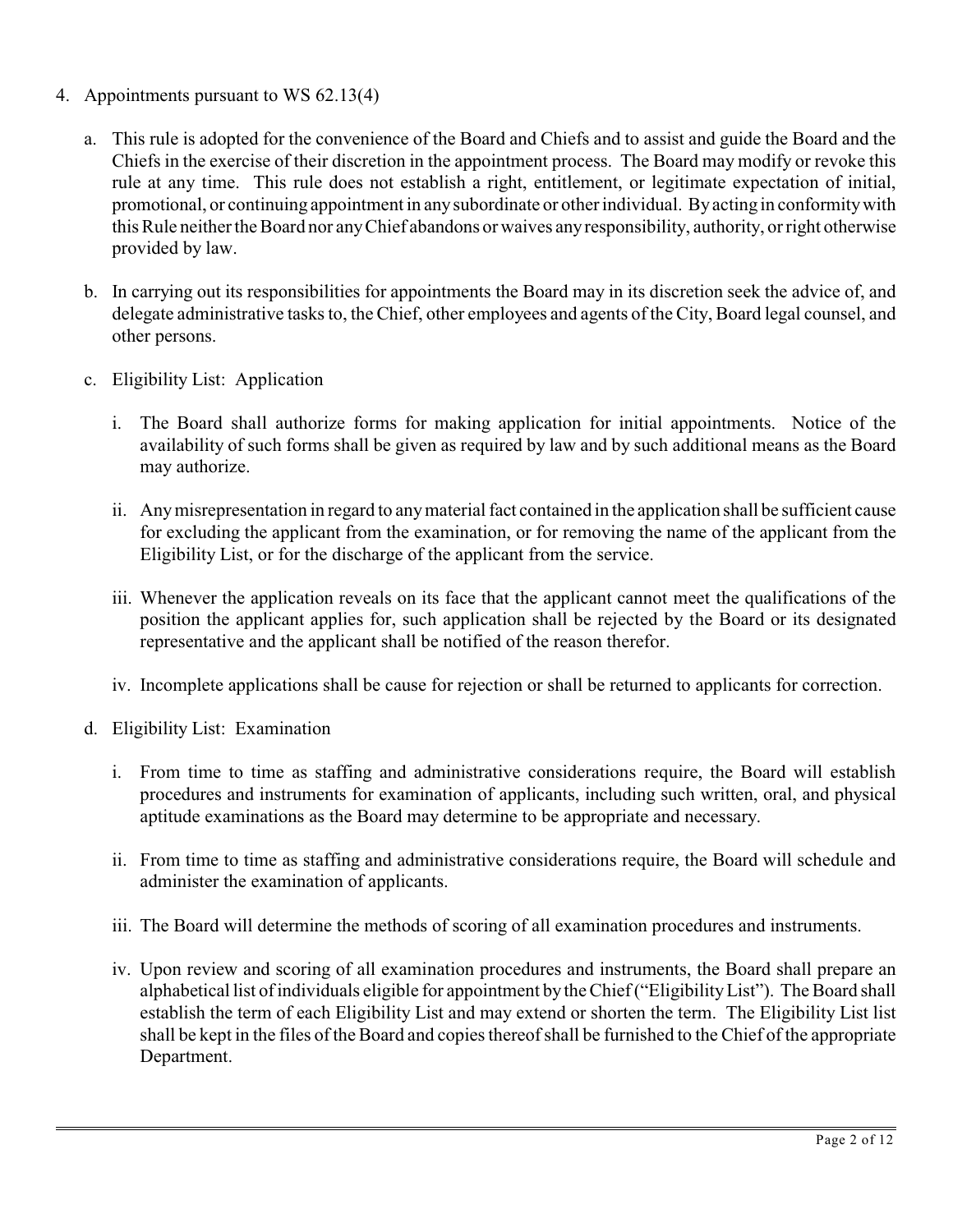- 4. Appointments pursuant to WS 62.13(4)
	- a. This rule is adopted for the convenience of the Board and Chiefs and to assist and guide the Board and the Chiefs in the exercise of their discretion in the appointment process. The Board may modify or revoke this rule at any time. This rule does not establish a right, entitlement, or legitimate expectation of initial, promotional, or continuing appointment in any subordinate or other individual. By acting in conformity with this Rule neither the Board nor any Chief abandons or waives any responsibility, authority, or right otherwise provided by law.
	- b. In carrying out its responsibilities for appointments the Board may in its discretion seek the advice of, and delegate administrative tasks to, the Chief, other employees and agents of the City, Board legal counsel, and other persons.
	- c. Eligibility List: Application
		- i. The Board shall authorize forms for making application for initial appointments. Notice of the availability of such forms shall be given as required by law and by such additional means as the Board may authorize.
		- ii. Any misrepresentation in regard to any material fact contained in the application shall be sufficient cause for excluding the applicant from the examination, or for removing the name of the applicant from the Eligibility List, or for the discharge of the applicant from the service.
		- iii. Whenever the application reveals on its face that the applicant cannot meet the qualifications of the position the applicant applies for, such application shall be rejected by the Board or its designated representative and the applicant shall be notified of the reason therefor.
		- iv. Incomplete applications shall be cause for rejection or shall be returned to applicants for correction.
	- d. Eligibility List: Examination
		- i. From time to time as staffing and administrative considerations require, the Board will establish procedures and instruments for examination of applicants, including such written, oral, and physical aptitude examinations as the Board may determine to be appropriate and necessary.
		- ii. From time to time as staffing and administrative considerations require, the Board will schedule and administer the examination of applicants.
		- iii. The Board will determine the methods of scoring of all examination procedures and instruments.
		- iv. Upon review and scoring of all examination procedures and instruments, the Board shall prepare an alphabetical list of individuals eligible for appointment by the Chief ("Eligibility List"). The Board shall establish the term of each Eligibility List and may extend or shorten the term. The Eligibility List list shall be kept in the files of the Board and copies thereof shall be furnished to the Chief of the appropriate Department.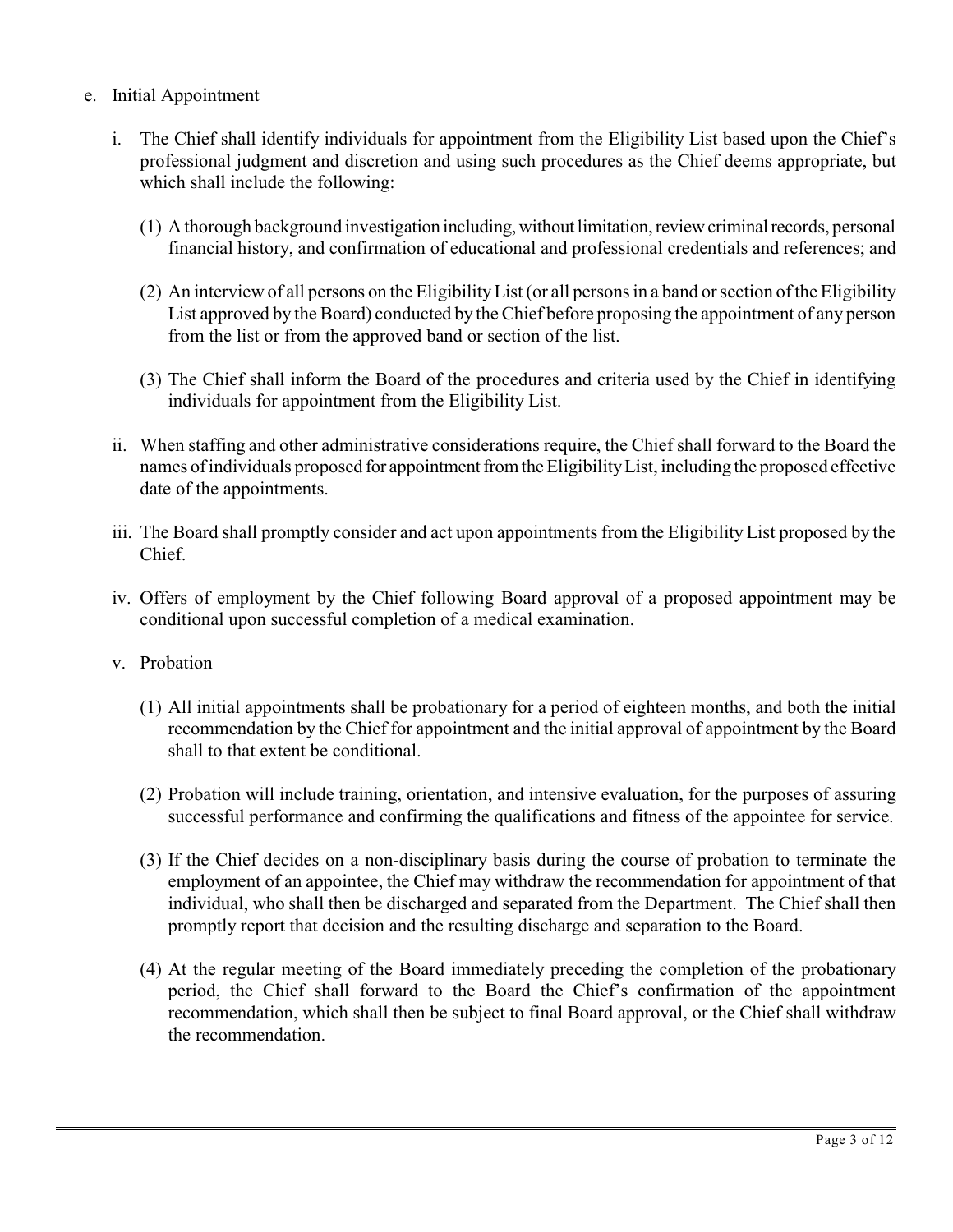- e. Initial Appointment
	- i. The Chief shall identify individuals for appointment from the Eligibility List based upon the Chief's professional judgment and discretion and using such procedures as the Chief deems appropriate, but which shall include the following:
		- (1) A thorough background investigation including, without limitation, review criminal records, personal financial history, and confirmation of educational and professional credentials and references; and
		- (2) An interview of all persons on the Eligibility List (or all persons in a band or section of the Eligibility List approved by the Board) conducted by the Chief before proposing the appointment of any person from the list or from the approved band or section of the list.
		- (3) The Chief shall inform the Board of the procedures and criteria used by the Chief in identifying individuals for appointment from the Eligibility List.
	- ii. When staffing and other administrative considerations require, the Chief shall forward to the Board the names of individuals proposed for appointment from the Eligibility List, including the proposed effective date of the appointments.
	- iii. The Board shall promptly consider and act upon appointments from the Eligibility List proposed by the Chief.
	- iv. Offers of employment by the Chief following Board approval of a proposed appointment may be conditional upon successful completion of a medical examination.
	- v. Probation
		- (1) All initial appointments shall be probationary for a period of eighteen months, and both the initial recommendation by the Chief for appointment and the initial approval of appointment by the Board shall to that extent be conditional.
		- (2) Probation will include training, orientation, and intensive evaluation, for the purposes of assuring successful performance and confirming the qualifications and fitness of the appointee for service.
		- (3) If the Chief decides on a non-disciplinary basis during the course of probation to terminate the employment of an appointee, the Chief may withdraw the recommendation for appointment of that individual, who shall then be discharged and separated from the Department. The Chief shall then promptly report that decision and the resulting discharge and separation to the Board.
		- (4) At the regular meeting of the Board immediately preceding the completion of the probationary period, the Chief shall forward to the Board the Chief's confirmation of the appointment recommendation, which shall then be subject to final Board approval, or the Chief shall withdraw the recommendation.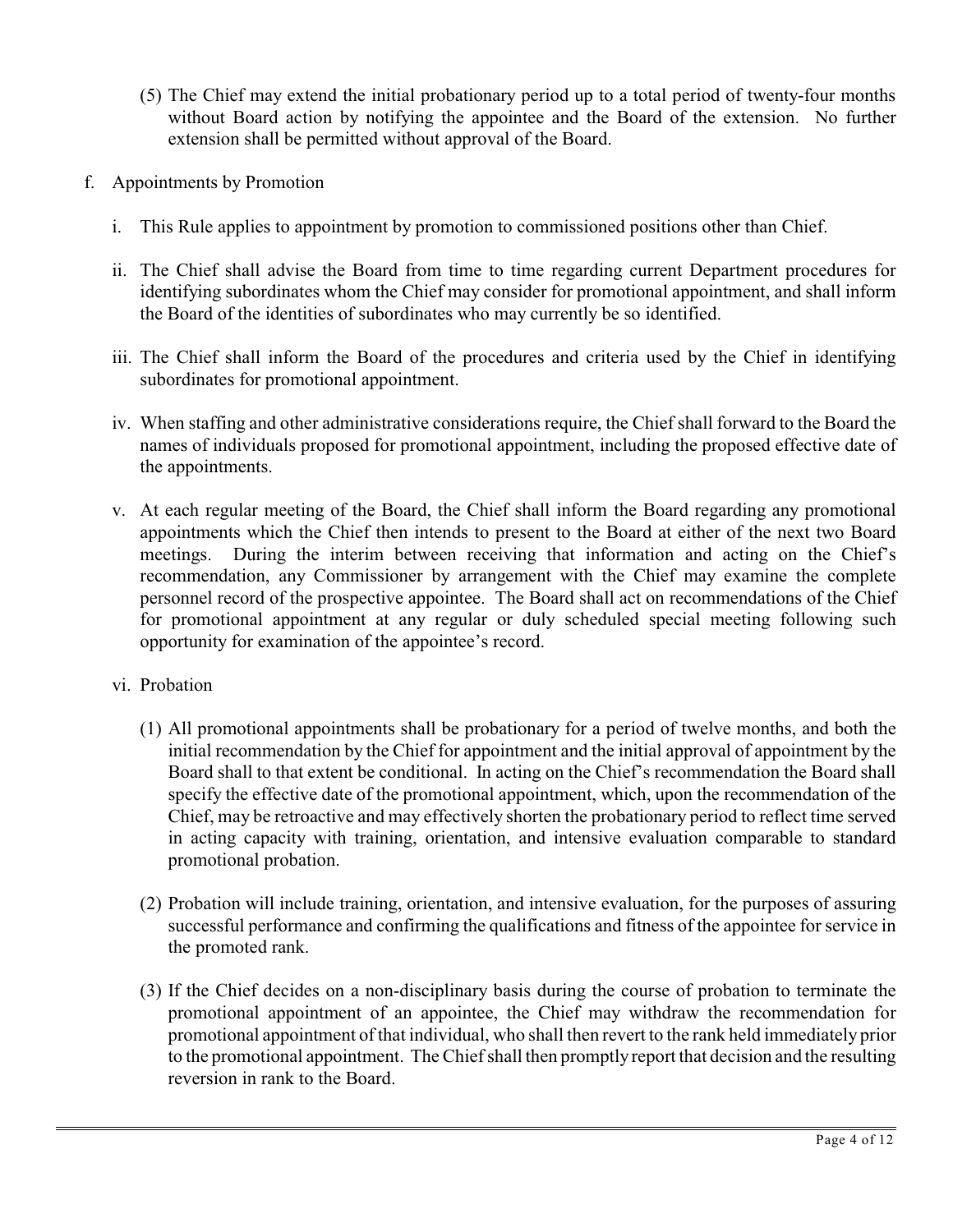- (5) The Chief may extend the initial probationary period up to a total period of twenty-four months without Board action by notifying the appointee and the Board of the extension. No further extension shall be permitted without approval of the Board.
- f. Appointments by Promotion
	- i. This Rule applies to appointment by promotion to commissioned positions other than Chief.
	- ii. The Chief shall advise the Board from time to time regarding current Department procedures for identifying subordinates whom the Chief may consider for promotional appointment, and shall inform the Board of the identities of subordinates who may currently be so identified.
	- iii. The Chief shall inform the Board of the procedures and criteria used by the Chief in identifying subordinates for promotional appointment.
	- iv. When staffing and other administrative considerations require, the Chief shall forward to the Board the names of individuals proposed for promotional appointment, including the proposed effective date of the appointments.
	- v. At each regular meeting of the Board, the Chief shall inform the Board regarding any promotional appointments which the Chief then intends to present to the Board at either of the next two Board meetings. During the interim between receiving that information and acting on the Chief's recommendation, any Commissioner by arrangement with the Chief may examine the complete personnel record of the prospective appointee. The Board shall act on recommendations of the Chief for promotional appointment at any regular or duly scheduled special meeting following such opportunity for examination of the appointee's record.
	- vi. Probation
		- (1) All promotional appointments shall be probationary for a period of twelve months, and both the initial recommendation by the Chief for appointment and the initial approval of appointment by the Board shall to that extent be conditional. In acting on the Chief's recommendation the Board shall specify the effective date of the promotional appointment, which, upon the recommendation of the Chief, may be retroactive and may effectively shorten the probationary period to reflect time served in acting capacity with training, orientation, and intensive evaluation comparable to standard promotional probation.
		- (2) Probation will include training, orientation, and intensive evaluation, for the purposes of assuring successful performance and confirming the qualifications and fitness of the appointee for service in the promoted rank.
		- (3) If the Chief decides on a non-disciplinary basis during the course of probation to terminate the promotional appointment of an appointee, the Chief may withdraw the recommendation for promotional appointment of that individual, who shall then revert to the rank held immediately prior to the promotional appointment. The Chief shall then promptly report that decision and the resulting reversion in rank to the Board.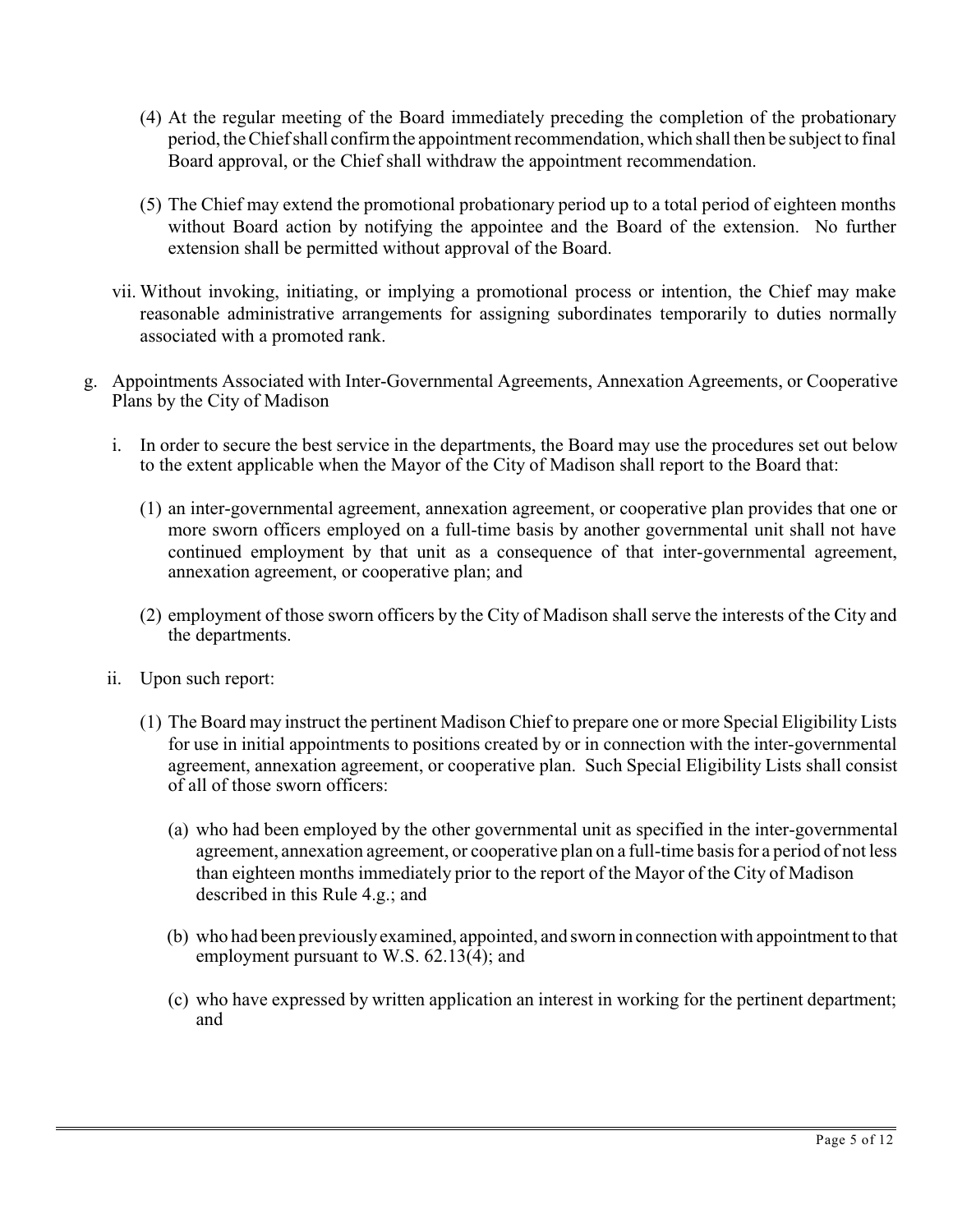- (4) At the regular meeting of the Board immediately preceding the completion of the probationary period, the Chief shall confirm the appointment recommendation, which shall then be subject to final Board approval, or the Chief shall withdraw the appointment recommendation.
- (5) The Chief may extend the promotional probationary period up to a total period of eighteen months without Board action by notifying the appointee and the Board of the extension. No further extension shall be permitted without approval of the Board.
- vii. Without invoking, initiating, or implying a promotional process or intention, the Chief may make reasonable administrative arrangements for assigning subordinates temporarily to duties normally associated with a promoted rank.
- g. Appointments Associated with Inter-Governmental Agreements, Annexation Agreements, or Cooperative Plans by the City of Madison
	- i. In order to secure the best service in the departments, the Board may use the procedures set out below to the extent applicable when the Mayor of the City of Madison shall report to the Board that:
		- (1) an inter-governmental agreement, annexation agreement, or cooperative plan provides that one or more sworn officers employed on a full-time basis by another governmental unit shall not have continued employment by that unit as a consequence of that inter-governmental agreement, annexation agreement, or cooperative plan; and
		- (2) employment of those sworn officers by the City of Madison shall serve the interests of the City and the departments.
	- ii. Upon such report:
		- (1) The Board may instruct the pertinent Madison Chief to prepare one or more Special Eligibility Lists for use in initial appointments to positions created by or in connection with the inter-governmental agreement, annexation agreement, or cooperative plan. Such Special Eligibility Lists shall consist of all of those sworn officers:
			- (a) who had been employed by the other governmental unit as specified in the inter-governmental agreement, annexation agreement, or cooperative plan on a full-time basis for a period of not less than eighteen months immediately prior to the report of the Mayor of the City of Madison described in this Rule 4.g.; and
			- (b) who had been previously examined, appointed, and sworn in connection with appointment to that employment pursuant to W.S. 62.13(4); and
			- (c) who have expressed by written application an interest in working for the pertinent department; and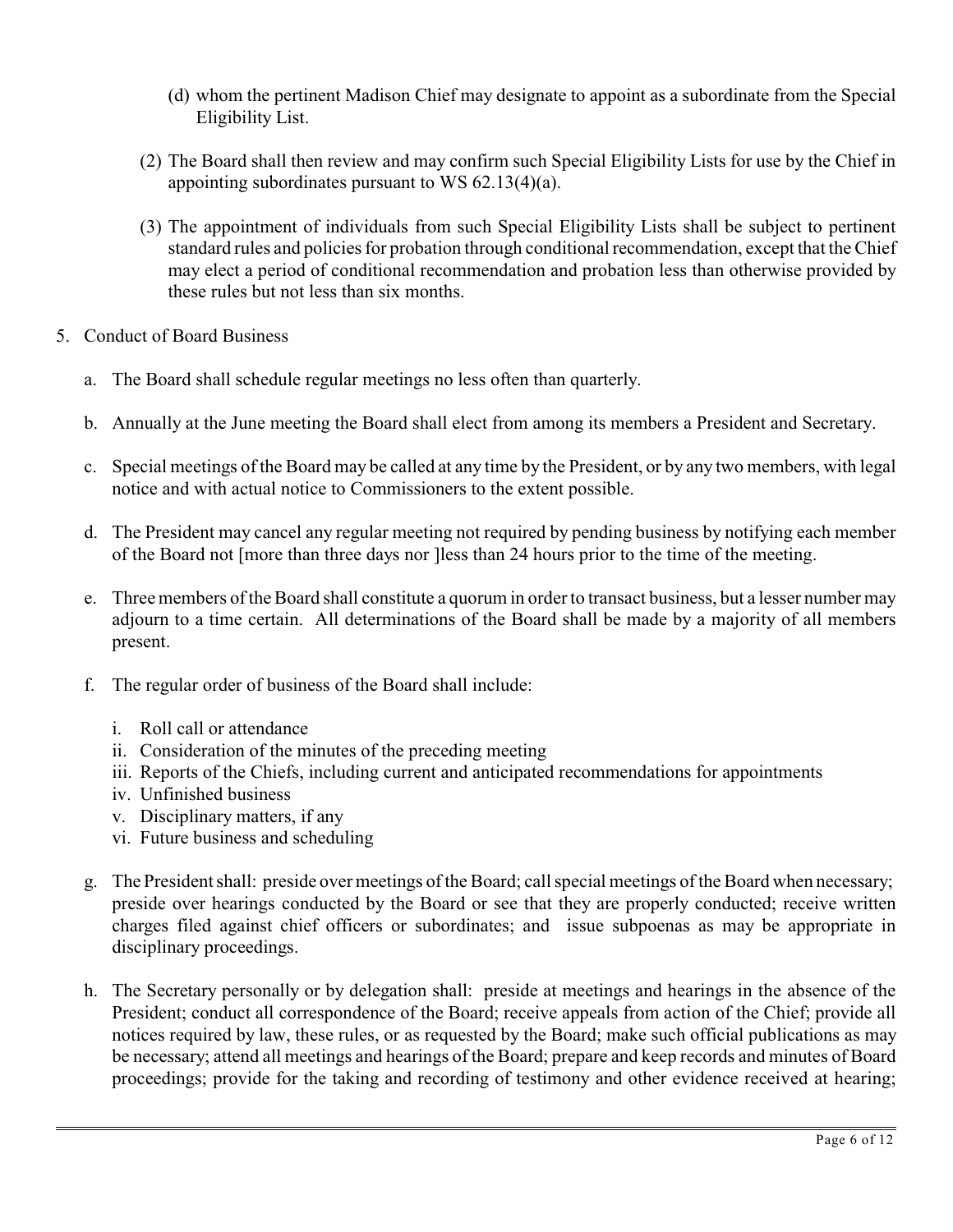- (d) whom the pertinent Madison Chief may designate to appoint as a subordinate from the Special Eligibility List.
- (2) The Board shall then review and may confirm such Special Eligibility Lists for use by the Chief in appointing subordinates pursuant to WS 62.13(4)(a).
- (3) The appointment of individuals from such Special Eligibility Lists shall be subject to pertinent standard rules and policies for probation through conditional recommendation, except that the Chief may elect a period of conditional recommendation and probation less than otherwise provided by these rules but not less than six months.
- 5. Conduct of Board Business
	- a. The Board shall schedule regular meetings no less often than quarterly.
	- b. Annually at the June meeting the Board shall elect from among its members a President and Secretary.
	- c. Special meetings of the Board may be called at any time by the President, or by any two members, with legal notice and with actual notice to Commissioners to the extent possible.
	- d. The President may cancel any regular meeting not required by pending business by notifying each member of the Board not [more than three days nor ]less than 24 hours prior to the time of the meeting.
	- e. Three members of the Board shall constitute a quorum in order to transact business, but a lesser number may adjourn to a time certain. All determinations of the Board shall be made by a majority of all members present.
	- f. The regular order of business of the Board shall include:
		- i. Roll call or attendance
		- ii. Consideration of the minutes of the preceding meeting
		- iii. Reports of the Chiefs, including current and anticipated recommendations for appointments
		- iv. Unfinished business
		- v. Disciplinary matters, if any
		- vi. Future business and scheduling
	- g. The President shall: preside over meetings of the Board; call special meetings of the Board when necessary; preside over hearings conducted by the Board or see that they are properly conducted; receive written charges filed against chief officers or subordinates; and issue subpoenas as may be appropriate in disciplinary proceedings.
	- h. The Secretary personally or by delegation shall: preside at meetings and hearings in the absence of the President; conduct all correspondence of the Board; receive appeals from action of the Chief; provide all notices required by law, these rules, or as requested by the Board; make such official publications as may be necessary; attend all meetings and hearings of the Board; prepare and keep records and minutes of Board proceedings; provide for the taking and recording of testimony and other evidence received at hearing;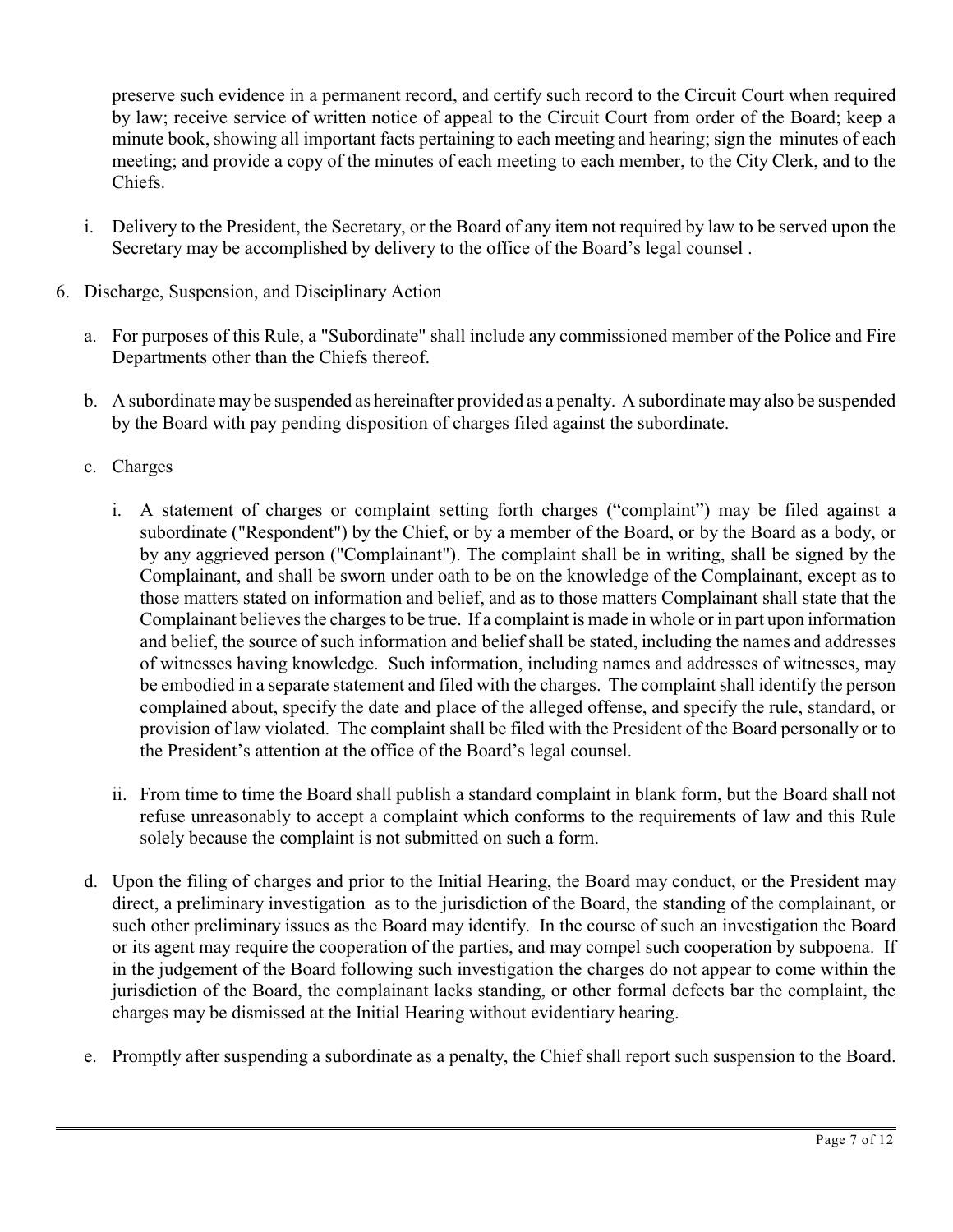preserve such evidence in a permanent record, and certify such record to the Circuit Court when required by law; receive service of written notice of appeal to the Circuit Court from order of the Board; keep a minute book, showing all important facts pertaining to each meeting and hearing; sign the minutes of each meeting; and provide a copy of the minutes of each meeting to each member, to the City Clerk, and to the Chiefs.

- i. Delivery to the President, the Secretary, or the Board of any item not required by law to be served upon the Secretary may be accomplished by delivery to the office of the Board's legal counsel .
- 6. Discharge, Suspension, and Disciplinary Action
	- a. For purposes of this Rule, a "Subordinate" shall include any commissioned member of the Police and Fire Departments other than the Chiefs thereof.
	- b. A subordinate may be suspended as hereinafter provided as a penalty. A subordinate may also be suspended by the Board with pay pending disposition of charges filed against the subordinate.
	- c. Charges
		- i. A statement of charges or complaint setting forth charges ("complaint") may be filed against a subordinate ("Respondent") by the Chief, or by a member of the Board, or by the Board as a body, or by any aggrieved person ("Complainant"). The complaint shall be in writing, shall be signed by the Complainant, and shall be sworn under oath to be on the knowledge of the Complainant, except as to those matters stated on information and belief, and as to those matters Complainant shall state that the Complainant believes the charges to be true. If a complaint is made in whole or in part upon information and belief, the source of such information and belief shall be stated, including the names and addresses of witnesses having knowledge. Such information, including names and addresses of witnesses, may be embodied in a separate statement and filed with the charges. The complaint shall identify the person complained about, specify the date and place of the alleged offense, and specify the rule, standard, or provision of law violated. The complaint shall be filed with the President of the Board personally or to the President's attention at the office of the Board's legal counsel.
		- ii. From time to time the Board shall publish a standard complaint in blank form, but the Board shall not refuse unreasonably to accept a complaint which conforms to the requirements of law and this Rule solely because the complaint is not submitted on such a form.
	- d. Upon the filing of charges and prior to the Initial Hearing, the Board may conduct, or the President may direct, a preliminary investigation as to the jurisdiction of the Board, the standing of the complainant, or such other preliminary issues as the Board may identify. In the course of such an investigation the Board or its agent may require the cooperation of the parties, and may compel such cooperation by subpoena. If in the judgement of the Board following such investigation the charges do not appear to come within the jurisdiction of the Board, the complainant lacks standing, or other formal defects bar the complaint, the charges may be dismissed at the Initial Hearing without evidentiary hearing.
	- e. Promptly after suspending a subordinate as a penalty, the Chief shall report such suspension to the Board.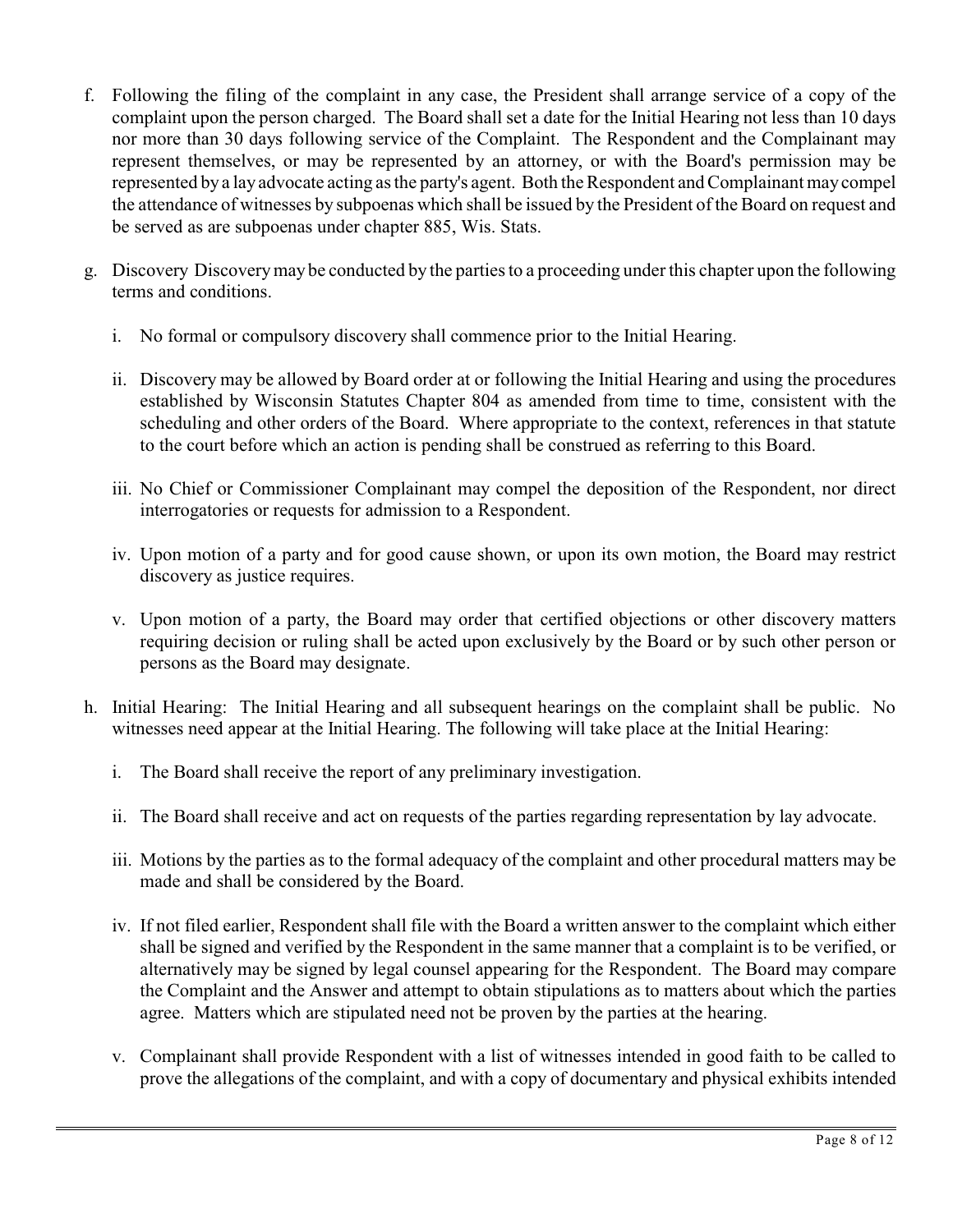- f. Following the filing of the complaint in any case, the President shall arrange service of a copy of the complaint upon the person charged. The Board shall set a date for the Initial Hearing not less than 10 days nor more than 30 days following service of the Complaint. The Respondent and the Complainant may represent themselves, or may be represented by an attorney, or with the Board's permission may be represented by a lay advocate acting as the party's agent. Both the Respondent and Complainant may compel the attendance of witnesses by subpoenas which shall be issued by the President of the Board on request and be served as are subpoenas under chapter 885, Wis. Stats.
- g. Discovery Discovery may be conducted by the parties to a proceeding under this chapter upon the following terms and conditions.
	- i. No formal or compulsory discovery shall commence prior to the Initial Hearing.
	- ii. Discovery may be allowed by Board order at or following the Initial Hearing and using the procedures established by Wisconsin Statutes Chapter 804 as amended from time to time, consistent with the scheduling and other orders of the Board. Where appropriate to the context, references in that statute to the court before which an action is pending shall be construed as referring to this Board.
	- iii. No Chief or Commissioner Complainant may compel the deposition of the Respondent, nor direct interrogatories or requests for admission to a Respondent.
	- iv. Upon motion of a party and for good cause shown, or upon its own motion, the Board may restrict discovery as justice requires.
	- v. Upon motion of a party, the Board may order that certified objections or other discovery matters requiring decision or ruling shall be acted upon exclusively by the Board or by such other person or persons as the Board may designate.
- h. Initial Hearing: The Initial Hearing and all subsequent hearings on the complaint shall be public. No witnesses need appear at the Initial Hearing. The following will take place at the Initial Hearing:
	- i. The Board shall receive the report of any preliminary investigation.
	- ii. The Board shall receive and act on requests of the parties regarding representation by lay advocate.
	- iii. Motions by the parties as to the formal adequacy of the complaint and other procedural matters may be made and shall be considered by the Board.
	- iv. If not filed earlier, Respondent shall file with the Board a written answer to the complaint which either shall be signed and verified by the Respondent in the same manner that a complaint is to be verified, or alternatively may be signed by legal counsel appearing for the Respondent. The Board may compare the Complaint and the Answer and attempt to obtain stipulations as to matters about which the parties agree. Matters which are stipulated need not be proven by the parties at the hearing.
	- v. Complainant shall provide Respondent with a list of witnesses intended in good faith to be called to prove the allegations of the complaint, and with a copy of documentary and physical exhibits intended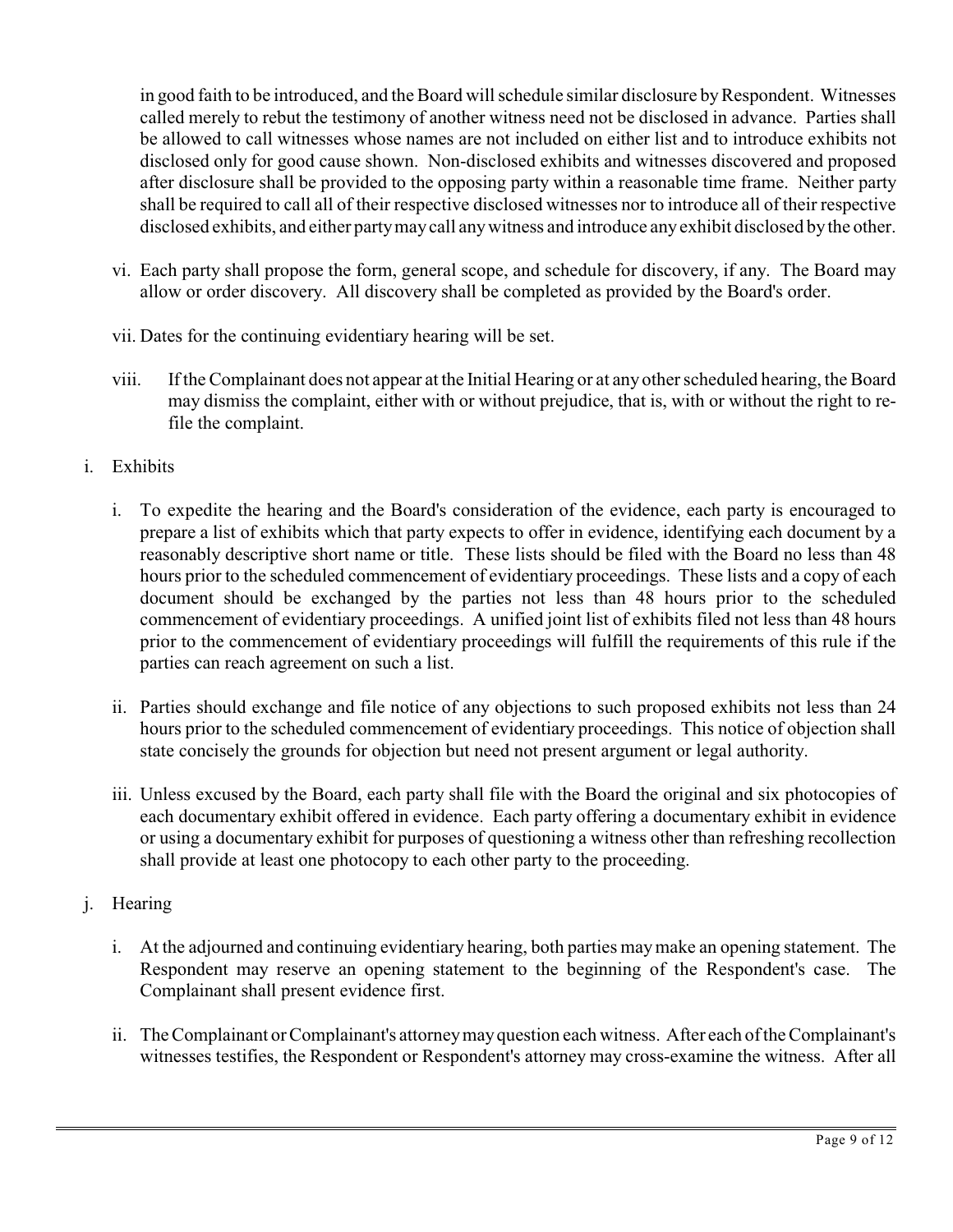in good faith to be introduced, and the Board will schedule similar disclosure by Respondent. Witnesses called merely to rebut the testimony of another witness need not be disclosed in advance. Parties shall be allowed to call witnesses whose names are not included on either list and to introduce exhibits not disclosed only for good cause shown. Non-disclosed exhibits and witnesses discovered and proposed after disclosure shall be provided to the opposing party within a reasonable time frame. Neither party shall be required to call all of their respective disclosed witnesses nor to introduce all of their respective disclosed exhibits, and either party may call any witness and introduce any exhibit disclosed by the other.

- vi. Each party shall propose the form, general scope, and schedule for discovery, if any. The Board may allow or order discovery. All discovery shall be completed as provided by the Board's order.
- vii. Dates for the continuing evidentiary hearing will be set.
- viii. If the Complainant does not appear at the Initial Hearing or at any other scheduled hearing, the Board may dismiss the complaint, either with or without prejudice, that is, with or without the right to refile the complaint.
- i. Exhibits
	- i. To expedite the hearing and the Board's consideration of the evidence, each party is encouraged to prepare a list of exhibits which that party expects to offer in evidence, identifying each document by a reasonably descriptive short name or title. These lists should be filed with the Board no less than 48 hours prior to the scheduled commencement of evidentiary proceedings. These lists and a copy of each document should be exchanged by the parties not less than 48 hours prior to the scheduled commencement of evidentiary proceedings. A unified joint list of exhibits filed not less than 48 hours prior to the commencement of evidentiary proceedings will fulfill the requirements of this rule if the parties can reach agreement on such a list.
	- ii. Parties should exchange and file notice of any objections to such proposed exhibits not less than 24 hours prior to the scheduled commencement of evidentiary proceedings. This notice of objection shall state concisely the grounds for objection but need not present argument or legal authority.
	- iii. Unless excused by the Board, each party shall file with the Board the original and six photocopies of each documentary exhibit offered in evidence. Each party offering a documentary exhibit in evidence or using a documentary exhibit for purposes of questioning a witness other than refreshing recollection shall provide at least one photocopy to each other party to the proceeding.
- j. Hearing
	- i. At the adjourned and continuing evidentiary hearing, both parties may make an opening statement. The Respondent may reserve an opening statement to the beginning of the Respondent's case. The Complainant shall present evidence first.
	- ii. The Complainant or Complainant's attorney may question each witness. After each of the Complainant's witnesses testifies, the Respondent or Respondent's attorney may cross-examine the witness. After all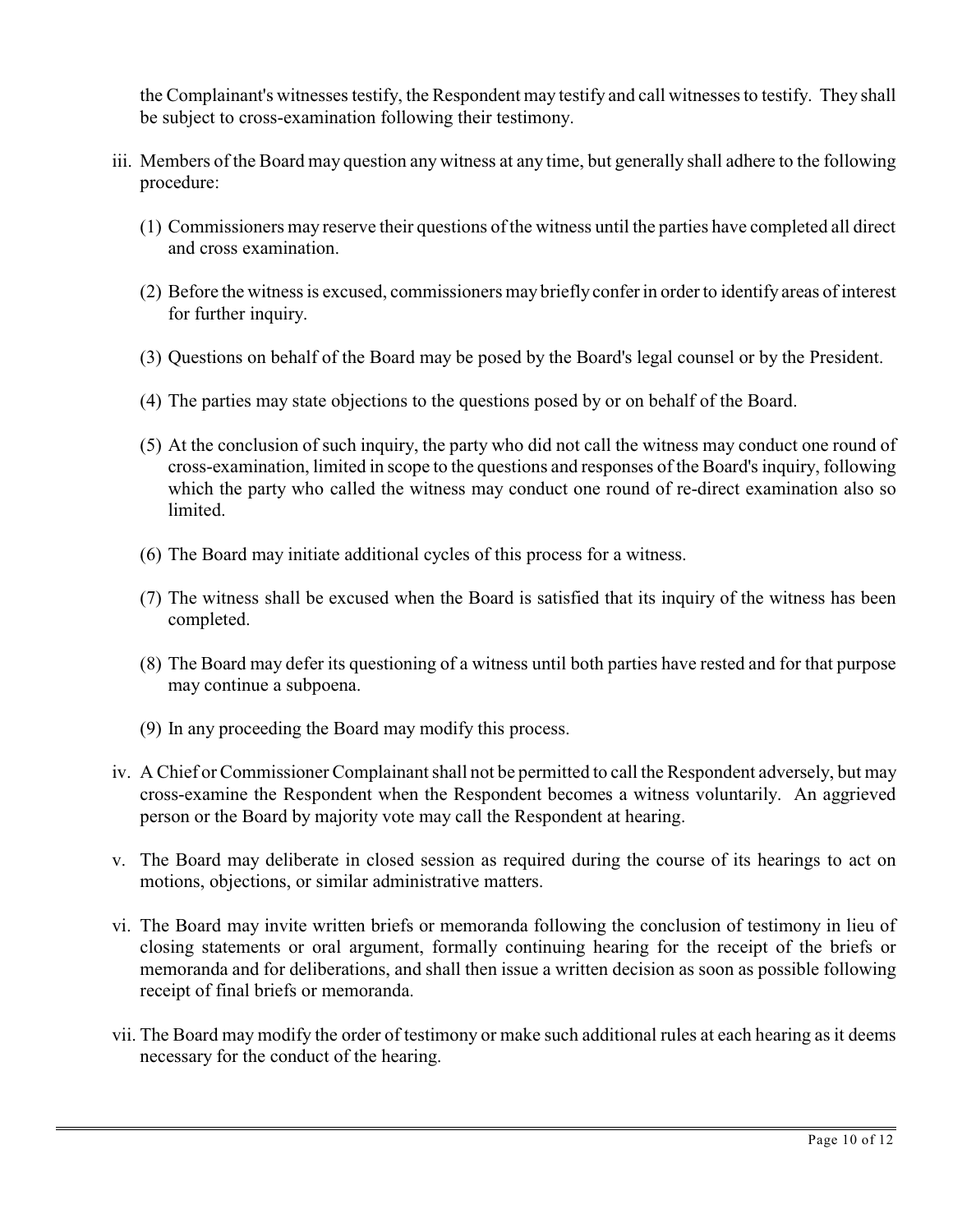the Complainant's witnesses testify, the Respondent may testify and call witnesses to testify. They shall be subject to cross-examination following their testimony.

- iii. Members of the Board may question any witness at any time, but generally shall adhere to the following procedure:
	- (1) Commissioners may reserve their questions of the witness until the parties have completed all direct and cross examination.
	- (2) Before the witness is excused, commissioners may briefly confer in order to identify areas of interest for further inquiry.
	- (3) Questions on behalf of the Board may be posed by the Board's legal counsel or by the President.
	- (4) The parties may state objections to the questions posed by or on behalf of the Board.
	- (5) At the conclusion of such inquiry, the party who did not call the witness may conduct one round of cross-examination, limited in scope to the questions and responses of the Board's inquiry, following which the party who called the witness may conduct one round of re-direct examination also so limited.
	- (6) The Board may initiate additional cycles of this process for a witness.
	- (7) The witness shall be excused when the Board is satisfied that its inquiry of the witness has been completed.
	- (8) The Board may defer its questioning of a witness until both parties have rested and for that purpose may continue a subpoena.
	- (9) In any proceeding the Board may modify this process.
- iv. A Chief or Commissioner Complainant shall not be permitted to call the Respondent adversely, but may cross-examine the Respondent when the Respondent becomes a witness voluntarily. An aggrieved person or the Board by majority vote may call the Respondent at hearing.
- v. The Board may deliberate in closed session as required during the course of its hearings to act on motions, objections, or similar administrative matters.
- vi. The Board may invite written briefs or memoranda following the conclusion of testimony in lieu of closing statements or oral argument, formally continuing hearing for the receipt of the briefs or memoranda and for deliberations, and shall then issue a written decision as soon as possible following receipt of final briefs or memoranda.
- vii. The Board may modify the order of testimony or make such additional rules at each hearing as it deems necessary for the conduct of the hearing.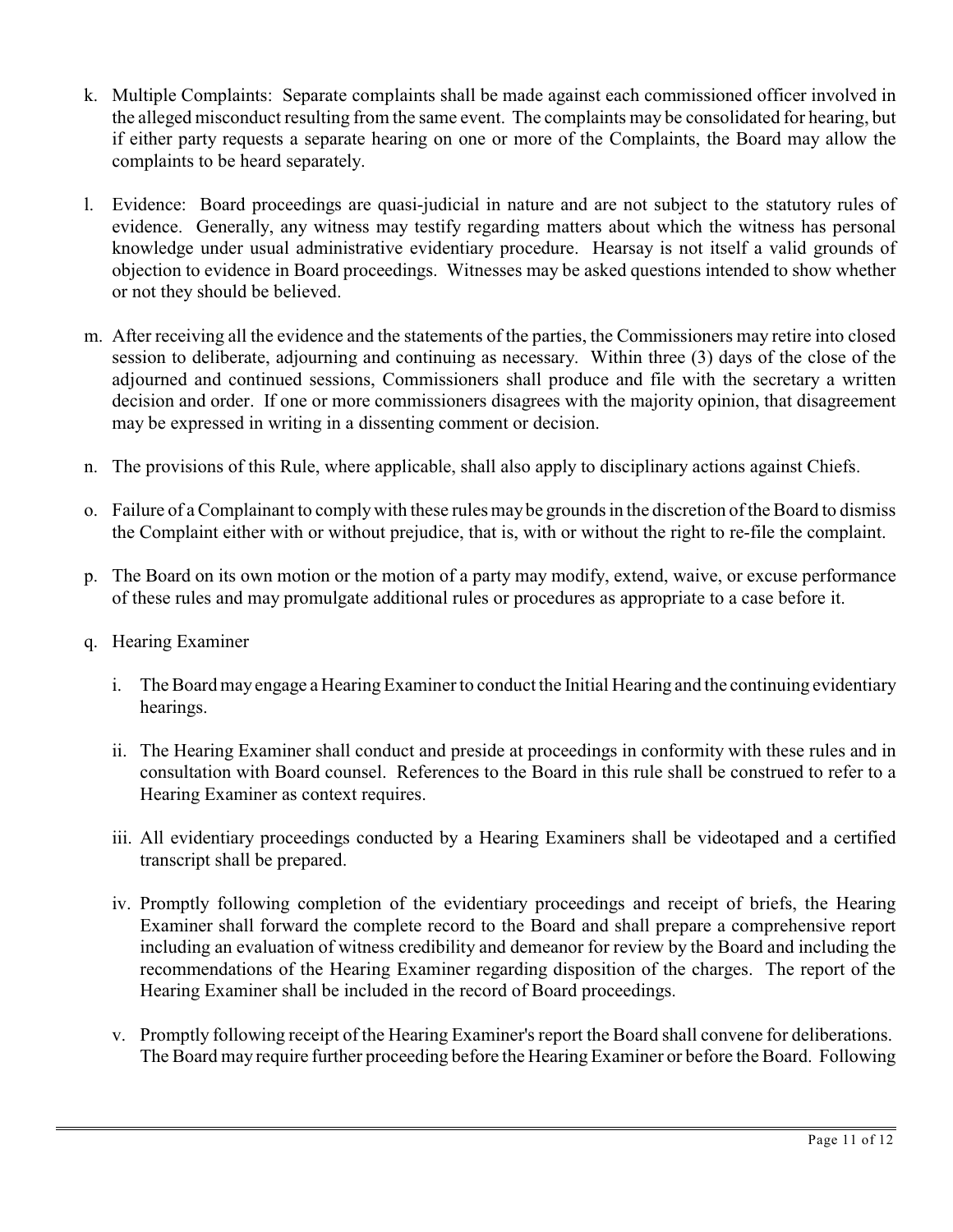- k. Multiple Complaints: Separate complaints shall be made against each commissioned officer involved in the alleged misconduct resulting from the same event. The complaints may be consolidated for hearing, but if either party requests a separate hearing on one or more of the Complaints, the Board may allow the complaints to be heard separately.
- l. Evidence: Board proceedings are quasi-judicial in nature and are not subject to the statutory rules of evidence. Generally, any witness may testify regarding matters about which the witness has personal knowledge under usual administrative evidentiary procedure. Hearsay is not itself a valid grounds of objection to evidence in Board proceedings. Witnesses may be asked questions intended to show whether or not they should be believed.
- m. After receiving all the evidence and the statements of the parties, the Commissioners may retire into closed session to deliberate, adjourning and continuing as necessary. Within three (3) days of the close of the adjourned and continued sessions, Commissioners shall produce and file with the secretary a written decision and order. If one or more commissioners disagrees with the majority opinion, that disagreement may be expressed in writing in a dissenting comment or decision.
- n. The provisions of this Rule, where applicable, shall also apply to disciplinary actions against Chiefs.
- o. Failure of a Complainant to comply with these rules may be grounds in the discretion of the Board to dismiss the Complaint either with or without prejudice, that is, with or without the right to re-file the complaint.
- p. The Board on its own motion or the motion of a party may modify, extend, waive, or excuse performance of these rules and may promulgate additional rules or procedures as appropriate to a case before it.
- q. Hearing Examiner
	- i. The Board may engage a Hearing Examiner to conduct the Initial Hearing and the continuing evidentiary hearings.
	- ii. The Hearing Examiner shall conduct and preside at proceedings in conformity with these rules and in consultation with Board counsel. References to the Board in this rule shall be construed to refer to a Hearing Examiner as context requires.
	- iii. All evidentiary proceedings conducted by a Hearing Examiners shall be videotaped and a certified transcript shall be prepared.
	- iv. Promptly following completion of the evidentiary proceedings and receipt of briefs, the Hearing Examiner shall forward the complete record to the Board and shall prepare a comprehensive report including an evaluation of witness credibility and demeanor for review by the Board and including the recommendations of the Hearing Examiner regarding disposition of the charges. The report of the Hearing Examiner shall be included in the record of Board proceedings.
	- v. Promptly following receipt of the Hearing Examiner's report the Board shall convene for deliberations. The Board may require further proceeding before the Hearing Examiner or before the Board. Following